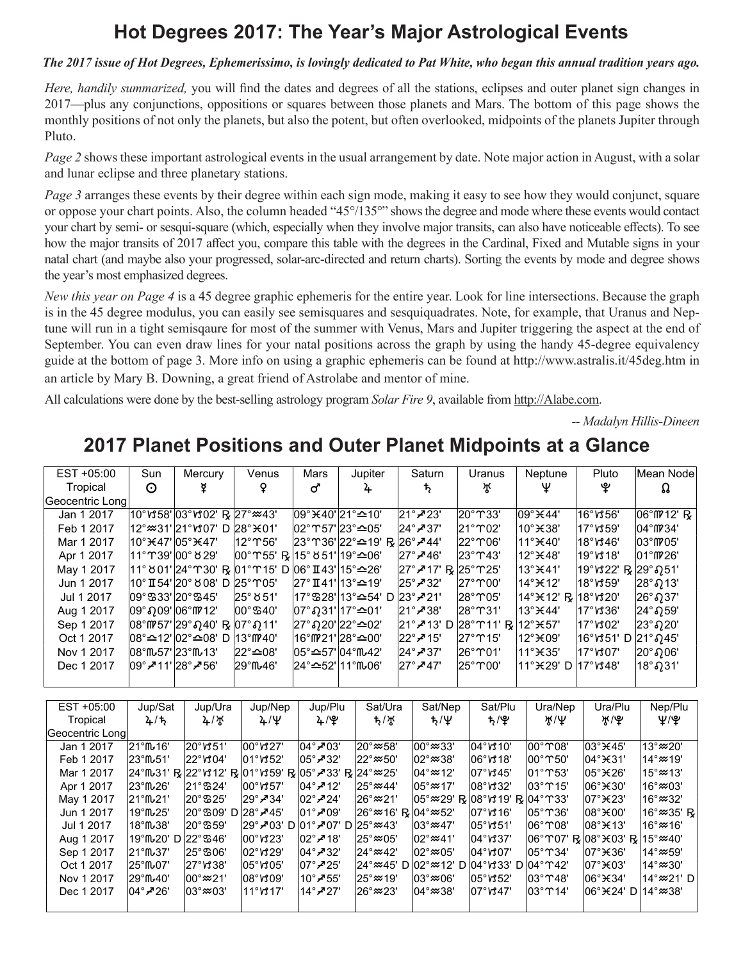## **Hot Degrees 2017: The Year's Major Astrological Events**

### *The 2017 issue of Hot Degrees, Ephemerissimo, is lovingly dedicated to Pat White, who began this annual tradition years ago.*

*Here, handily summarized,* you will find the dates and degrees of all the stations, eclipses and outer planet sign changes in 2017—plus any conjunctions, oppositions or squares between those planets and Mars. The bottom of this page shows the monthly positions of not only the planets, but also the potent, but often overlooked, midpoints of the planets Jupiter through Pluto.

*Page 2* shows these important astrological events in the usual arrangement by date. Note major action in August, with a solar and lunar eclipse and three planetary stations.

*Page 3* arranges these events by their degree within each sign mode, making it easy to see how they would conjunct, square or oppose your chart points. Also, the column headed "45°/135°" shows the degree and mode where these events would contact your chart by semi- or sesqui-square (which, especially when they involve major transits, can also have noticeable effects). To see how the major transits of 2017 affect you, compare this table with the degrees in the Cardinal, Fixed and Mutable signs in your natal chart (and maybe also your progressed, solar-arc-directed and return charts). Sorting the events by mode and degree shows the year's most emphasized degrees.

*New this year on Page 4* is a 45 degree graphic ephemeris for the entire year. Look for line intersections. Because the graph is in the 45 degree modulus, you can easily see semisquares and sesquiquadrates. Note, for example, that Uranus and Neptune will run in a tight semisqaure for most of the summer with Venus, Mars and Jupiter triggering the aspect at the end of September. You can even draw lines for your natal positions across the graph by using the handy 45-degree equivalency guide at the bottom of page 3. More info on using a graphic ephemeris can be found at http://www.astralis.it/45deg.htm in an article by Mary B. Downing, a great friend of Astrolabe and mentor of mine.

All calculations were done by the best-selling astrology program *Solar Fire 9*, available from http://Alabe.com.

*-- Madalyn Hillis-Dineen*

## 2017 Planet Positions and Outer Planet Midpoints at a Glance

| EST +05:00      | Sun           | Mercury                                                                         | Venus                                                               | Mars                                    | Jupiter                                                                 | Saturn                                            | Uranus                                                          | Neptune                                                           | Pluto                          | Mean Node                      |
|-----------------|---------------|---------------------------------------------------------------------------------|---------------------------------------------------------------------|-----------------------------------------|-------------------------------------------------------------------------|---------------------------------------------------|-----------------------------------------------------------------|-------------------------------------------------------------------|--------------------------------|--------------------------------|
| Tropical        | $\odot$       |                                                                                 |                                                                     | ර'                                      | 4                                                                       | $\mathcal{P}$                                     | ਮ੍ਰਾ                                                            | Ψ                                                                 | ৼ                              | Ω                              |
| Geocentric Long |               |                                                                                 |                                                                     |                                         |                                                                         |                                                   |                                                                 |                                                                   |                                |                                |
| Jan 1 2017      |               | 10°หร58' 03°หร02' R  27°≈43'                                                    |                                                                     |                                         | 09° ¥40' 21° ≏10'                                                       | $ 21^\circ \cancel{\sim} 23^\circ$                | 20°T33'                                                         | $ 09^\circ \times 44^\circ $                                      | 16°V356'                       | 06°M'12' R                     |
| Feb 1 2017      |               | 12°≈31' 21°ห07' D  28°¥01'                                                      |                                                                     |                                         | l02°∩57'l23°≏05'                                                        | $ 24^\circ \cancel{\sim} 37^\circ$                | $ 21^\circ$ TO2'                                                | $10^\circ$ $\times$ 38'                                           | $17^\circ$ vt 59'              | $ 04^{\circ}$ ff $ 34^{\circ}$ |
| Mar 1 2017      |               | l10°¥47'l05°¥47'                                                                | $ 12^\circ$ T 56'                                                   |                                         | $ 23^{\circ}$ m 36' $ 22^{\circ}$ $\triangle 19'$ R $ 26^{\circ}$ A 44' |                                                   | $ 22^{\circ}$ T 06'                                             | $11^\circ$ $\text{H}$ 40'                                         | $18^\circ$ v $346^\circ$       | $ 03^\circ$ M $ 05^\circ$      |
| Apr 1 2017      |               |                                                                                 | $ 00^{\circ}$ T 55' R $ 15^{\circ}$ 851' $ 19^{\circ}$ $\simeq$ 06' |                                         |                                                                         | $ 27^\circ \cancel{\sim} 46^\circ$                | $ 23^\circ$ T43'                                                | 12° <sub>¥48</sub> '                                              | $19^\circ$ v $318^\circ$       | $ 01^{\circ}$ (# 26'           |
| May 1 2017      |               |                                                                                 | 11° 8 01' 24°130' R  01°115' D  06° II 43' 15°≏26'                  |                                         |                                                                         | $ 27^\circ$ $\geq$ 17' R $ 25^\circ$ $\gamma$ 25' |                                                                 | 13° <sub>K41</sub> '                                              | 19°ห22' R 29°ภ51'              |                                |
| Jun 1 2017      |               | 10° II 54' 20° 8'08' D  25° 05'                                                 |                                                                     |                                         | 27°∏41' 13°≏19'                                                         | $ 25^\circ \cancel{\sim} 32^\circ$                | $ 27^\circ$ $\degree$ 00'                                       | 14° <sub>K12</sub> '                                              | $ 18^\circ$ v $359'$           | $ 28°$ ຄາ 13'                  |
| Jul 1 2017      |               | $ 09^{\circ}$ \$33' $ 20^{\circ}$ \$45'                                         | ່ 25° 851'                                                          |                                         | $ 17^{\circ}$ \$28' $ 13^{\circ}$ $\cong$ 54' D $ 23^{\circ}$ ≠ 21'     |                                                   | $ 28^\circ$ N $05^\prime$                                       | $14^{\circ}$ $\times$ 12' R $18^{\circ}$ $\sqrt{320^{\circ}}$     |                                | $ 26°$ ຄາ                      |
| Aug 1 2017      |               | $ 09°3,09' 06°$ MP 12'                                                          | $ 00^{\circ}$ 540'                                                  |                                         | $ 07°.031' 17°$ ≏01'                                                    | $ 21^\circ \cancel{\sim} 38^\circ$                | $ 28^\circ$ T 31'                                               | 13° <sub>K44</sub> '                                              | $ 17^\circ$ vs 36'             | 24 $^{\circ}$ $59'$            |
| Sep 1 2017      |               | $ 08^{\circ}$ M $ 57' 29^{\circ}040'$ R $ 07^{\circ}011' $                      |                                                                     |                                         | $ 27°$ ຄ20' $ 22°$ ≏02'                                                 |                                                   | $ 21^\circ$ - 13' D $ 28^\circ$ T11' R $ 12^\circ$ $\times$ 57' |                                                                   | $17^\circ$ v $302^\circ$       | $ 23^\circ \Omega 20^\circ$    |
| Oct 1 2017      |               | $ 08^{\circ}$ $\leq$ 12' $ 02^{\circ}$ $\leq$ 08' D $ 13^{\circ}$ $ 09^{\circ}$ |                                                                     |                                         | $16^{\circ}$ fm 21' $28^{\circ}$ $\approx$ 00'                          | $ 22^\circ \cancel{\sim} 15^\circ$                | $ 27^\circ$ T 15'                                               | $ 12^\circ \times 09^\circ$                                       | $ 16°$ หรว1' D $ 21°$ ฏ45'     |                                |
| Nov 1 2017      | 108°M57'123°M |                                                                                 | $ 22^\circ$ ≏08'                                                    | $ 05^{\circ}$ ≏57' $ 04^{\circ}$ ffu42' |                                                                         | $ 24^\circ \cancel{\sim} 37^\circ$                | $ 26^\circ$ T01'                                                | $11^\circ$ $\times$ 35'                                           | $17^\circ$ <sub>vs</sub> $07'$ |                                |
| Dec 1 2017      |               | $ 09^{\circ}$ $\leq$ 11' $ 28^{\circ}$ $\leq$ 56'                               | $ 29^\circ$ ff $\cdot$ 46'                                          | $ 24^{\circ}$ $\cong$ 52' 11° ft 06'    |                                                                         | $27^\circ$ $\cancel{7}$ 47'                       | $ 25^\circ$ $\degree$ 00'                                       | $11^{\circ}$ $\times$ 29' D $17^{\circ}$ $\text{V}$ $348^{\circ}$ |                                | 18°ກ31'                        |
|                 |               |                                                                                 |                                                                     |                                         |                                                                         |                                                   |                                                                 |                                                                   |                                |                                |
|                 |               |                                                                                 |                                                                     |                                         |                                                                         |                                                   |                                                                 |                                                                   |                                |                                |

| Jup/Sat<br>EST +05:00<br>Jup/Nep<br>Jup/Plu<br>Sat/Ura<br>Sat/Nep<br>Sat/Plu<br>Ura/Nep<br>Nep/Plu<br>Jup/Ura<br>Ura/Plu<br>Ψ/Ψ<br>ት አለ<br>Tropical<br>$4/\frac{1}{4}$<br>$t/\Psi$<br>*/\ም<br>$4/\frac{1}{3}$<br>ች\ቆ<br>ち/が<br>ж/Ψ<br>4/5<br>Geocentric Long<br>00° ~ 33'<br>$03^\circ$ $\times$ 45'<br>13° $\approx$ 20'<br>$ 20^\circ \text{M}51^\circ$<br>$ 00^\circ \text{V}327^\circ$<br>20°≈58'<br>$ 04^\circ$ vt 10'<br>$ 00^\circ \text{}08^\prime$<br>21°M⊶16'<br>$ 04^\circ \angle 03^\circ$<br>Jan 1 2017<br>$14^\circ \approx 19^\circ$<br>$106^\circ$ vt 18'<br>$ 04^\circ \times 31'$<br>Feb 1 2017<br>$ 22^{\circ}$ v $ 04^{\circ} $<br>$ 01^\circ$ v $ 52^\circ$<br>$ 22^{\circ}$ $\approx$ 50'<br>$ 02^\circ \approx 38^\circ$<br>∣23°ጤ51'<br>$ 05^\circ \cancel{\sim} 32^\circ$<br>ା00° M 50'<br>$15^\circ \approx 13^\circ$<br>$ 04^\circ \approx 12^\circ$<br>$ 07^\circ$ v $345^\circ$<br>$ 01^\circ$ T 53'<br>$105^\circ$ $\times$ 26'<br> 24°ጤ31' R  22°14'2' R  01°159' R  05° A33' R  24°≈25'<br>Mar 1 2017<br> 21°ሜ24'<br>$ 00^\circ \text{M}57$<br>$ 06^\circ \times 30^\prime$<br>$16^{\circ}$ $\approx$ 03'<br>Apr 1 2017<br>23°M <sub>-26</sub> '<br>$ 04^\circ \cancel{3}12^\circ$<br>l25° <i>≈</i> ×44'<br>$ 05^\circ \approx$ 17'<br>$ 08^\circ$ rd 32'<br>l03°ጥ15'<br>l16°≈32'<br>$20^\circ$ \$25'<br>$ 05^\circ \approx 29'$ R $ 08^\circ$ v $ 19'$ R $ 04^\circ$ $ 03'$<br>$ 07^\circ \times 23^\prime$<br>May 1 2017<br>21°fW21'<br>$ 29^\circ \cancel{\sim} 34^\circ$<br>$ 02^\circ \angle 24 $<br>26°≈21'<br>16° * 35' R<br> 26°≈16' R  04°≈52'<br>$107^\circ$ vt 16'<br>$ 08^\circ \times 00'$<br>Jun 1 2017<br>$19^{\circ}$ ff $\sim$ 25'<br>$ 20^{\circ}$ $\degree$ 09'<br>l05°ጥ36'<br>D 28° <del>∕</del> 45'<br>$ 01^\circ \chi 09^\circ$<br>$16^\circ \approx 16^\circ$<br>$ 20^{\circ}$ % 59'<br>$ 25^\circ \approx 43^\circ$<br>$ 05^\circ$ vt $51^\circ$<br>$ 08^\circ \times 13^\prime$<br>$18^\circ$ ff $\omega$ 38'<br>$ 29^\circ \chi 03'$ D $ 01^\circ \chi 07'$ D<br>$ 03^\circ \approx 47^\circ$<br>$106^\circ$ M $08'$<br>Jul 1 2017<br>Aug 1 2017<br>19°M20' D 22° \$46'<br>$ 00^\circ \text{M}23^\circ$<br>$ 02^\circ \angle 18^\circ$<br>$ 02^\circ \approx 41^\circ$<br>$ 04^\circ$ vt 37'<br>06°T07' R 08°¥03' R<br>15°≈40'<br>l25°≈05'<br>$ 02^\circ \text{M} 29^\circ$<br>$ 05^\circ$ m 34'<br>$ 07^\circ \times 36^\circ $<br>$14^{\circ}$ $\approx$ 59'<br>Sep 1 2017<br>21°ſW37'<br>$ 25^\circ \, 306^\circ$<br>$ 02^{\circ} \approx 05^{\circ} $<br>$ 04^\circ$ vt $07'$<br>$ 04^\circ \cancel{\sim} 32^\circ$<br>l24° <i></i> ≈42'<br>$14^\circ \approx 30^\circ$<br>Oct 1 2017<br>$ 05^\circ \mathcal{M} 05^\prime$<br>24°≈45' D<br>$ 04^{\circ}$ v $33^{\circ}$ D $ 04^{\circ}$ m $42^{\circ}$<br>$ 07^\circ \times 03^\prime$<br>125°M <sub>07'</sub><br>$ 27^\circ$ vt 38'<br>l02°≈12' D<br>$107^\circ$ $\geq 25^\circ$<br> 14°≈21' D<br>$ 00^\circ \approx 21$<br>$ 08^\circ \mathcal{M}09'$<br>25°≈19'<br>$ 03^\circ \approx 06^\circ$<br>$ 05^\circ$ ฬ52'<br>l03°ጥ48'<br>$ 06^\circ \times 34^\circ$<br>Nov 1 2017<br>129°M⊶40'<br>$10^\circ$ -755'<br>11°V317'<br>$ 03^\circ \approx 03^\circ$<br>26°≈23'<br>l04°≈38'<br>$107^\circ$ v $347'$<br>l03°ጥ14'<br>$14^\circ \times 38'$<br>Dec 1 2017<br>$ 04^\circ \cancel{\sim} 26^\circ$<br>$14^{\circ}$ $727^{\circ}$<br>106°¥24' D |  |  |  |  |  |  |
|---------------------------------------------------------------------------------------------------------------------------------------------------------------------------------------------------------------------------------------------------------------------------------------------------------------------------------------------------------------------------------------------------------------------------------------------------------------------------------------------------------------------------------------------------------------------------------------------------------------------------------------------------------------------------------------------------------------------------------------------------------------------------------------------------------------------------------------------------------------------------------------------------------------------------------------------------------------------------------------------------------------------------------------------------------------------------------------------------------------------------------------------------------------------------------------------------------------------------------------------------------------------------------------------------------------------------------------------------------------------------------------------------------------------------------------------------------------------------------------------------------------------------------------------------------------------------------------------------------------------------------------------------------------------------------------------------------------------------------------------------------------------------------------------------------------------------------------------------------------------------------------------------------------------------------------------------------------------------------------------------------------------------------------------------------------------------------------------------------------------------------------------------------------------------------------------------------------------------------------------------------------------------------------------------------------------------------------------------------------------------------------------------------------------------------------------------------------------------------------------------------------------------------------------------------------------------------------------------------------------------------------------------------------------------------------------------------------------------------------------------------------------------------------------------------------------------------------------------------------------------------------------------------------------------------------------------------------------------------------------------------------------------------------------------------------------------------------------------------------------------------------------------------------------------------------------------------------------------------------------------------------------------------------------------------------------------------------------------------------|--|--|--|--|--|--|
|                                                                                                                                                                                                                                                                                                                                                                                                                                                                                                                                                                                                                                                                                                                                                                                                                                                                                                                                                                                                                                                                                                                                                                                                                                                                                                                                                                                                                                                                                                                                                                                                                                                                                                                                                                                                                                                                                                                                                                                                                                                                                                                                                                                                                                                                                                                                                                                                                                                                                                                                                                                                                                                                                                                                                                                                                                                                                                                                                                                                                                                                                                                                                                                                                                                                                                                                                               |  |  |  |  |  |  |
|                                                                                                                                                                                                                                                                                                                                                                                                                                                                                                                                                                                                                                                                                                                                                                                                                                                                                                                                                                                                                                                                                                                                                                                                                                                                                                                                                                                                                                                                                                                                                                                                                                                                                                                                                                                                                                                                                                                                                                                                                                                                                                                                                                                                                                                                                                                                                                                                                                                                                                                                                                                                                                                                                                                                                                                                                                                                                                                                                                                                                                                                                                                                                                                                                                                                                                                                                               |  |  |  |  |  |  |
|                                                                                                                                                                                                                                                                                                                                                                                                                                                                                                                                                                                                                                                                                                                                                                                                                                                                                                                                                                                                                                                                                                                                                                                                                                                                                                                                                                                                                                                                                                                                                                                                                                                                                                                                                                                                                                                                                                                                                                                                                                                                                                                                                                                                                                                                                                                                                                                                                                                                                                                                                                                                                                                                                                                                                                                                                                                                                                                                                                                                                                                                                                                                                                                                                                                                                                                                                               |  |  |  |  |  |  |
|                                                                                                                                                                                                                                                                                                                                                                                                                                                                                                                                                                                                                                                                                                                                                                                                                                                                                                                                                                                                                                                                                                                                                                                                                                                                                                                                                                                                                                                                                                                                                                                                                                                                                                                                                                                                                                                                                                                                                                                                                                                                                                                                                                                                                                                                                                                                                                                                                                                                                                                                                                                                                                                                                                                                                                                                                                                                                                                                                                                                                                                                                                                                                                                                                                                                                                                                                               |  |  |  |  |  |  |
|                                                                                                                                                                                                                                                                                                                                                                                                                                                                                                                                                                                                                                                                                                                                                                                                                                                                                                                                                                                                                                                                                                                                                                                                                                                                                                                                                                                                                                                                                                                                                                                                                                                                                                                                                                                                                                                                                                                                                                                                                                                                                                                                                                                                                                                                                                                                                                                                                                                                                                                                                                                                                                                                                                                                                                                                                                                                                                                                                                                                                                                                                                                                                                                                                                                                                                                                                               |  |  |  |  |  |  |
|                                                                                                                                                                                                                                                                                                                                                                                                                                                                                                                                                                                                                                                                                                                                                                                                                                                                                                                                                                                                                                                                                                                                                                                                                                                                                                                                                                                                                                                                                                                                                                                                                                                                                                                                                                                                                                                                                                                                                                                                                                                                                                                                                                                                                                                                                                                                                                                                                                                                                                                                                                                                                                                                                                                                                                                                                                                                                                                                                                                                                                                                                                                                                                                                                                                                                                                                                               |  |  |  |  |  |  |
|                                                                                                                                                                                                                                                                                                                                                                                                                                                                                                                                                                                                                                                                                                                                                                                                                                                                                                                                                                                                                                                                                                                                                                                                                                                                                                                                                                                                                                                                                                                                                                                                                                                                                                                                                                                                                                                                                                                                                                                                                                                                                                                                                                                                                                                                                                                                                                                                                                                                                                                                                                                                                                                                                                                                                                                                                                                                                                                                                                                                                                                                                                                                                                                                                                                                                                                                                               |  |  |  |  |  |  |
|                                                                                                                                                                                                                                                                                                                                                                                                                                                                                                                                                                                                                                                                                                                                                                                                                                                                                                                                                                                                                                                                                                                                                                                                                                                                                                                                                                                                                                                                                                                                                                                                                                                                                                                                                                                                                                                                                                                                                                                                                                                                                                                                                                                                                                                                                                                                                                                                                                                                                                                                                                                                                                                                                                                                                                                                                                                                                                                                                                                                                                                                                                                                                                                                                                                                                                                                                               |  |  |  |  |  |  |
|                                                                                                                                                                                                                                                                                                                                                                                                                                                                                                                                                                                                                                                                                                                                                                                                                                                                                                                                                                                                                                                                                                                                                                                                                                                                                                                                                                                                                                                                                                                                                                                                                                                                                                                                                                                                                                                                                                                                                                                                                                                                                                                                                                                                                                                                                                                                                                                                                                                                                                                                                                                                                                                                                                                                                                                                                                                                                                                                                                                                                                                                                                                                                                                                                                                                                                                                                               |  |  |  |  |  |  |
|                                                                                                                                                                                                                                                                                                                                                                                                                                                                                                                                                                                                                                                                                                                                                                                                                                                                                                                                                                                                                                                                                                                                                                                                                                                                                                                                                                                                                                                                                                                                                                                                                                                                                                                                                                                                                                                                                                                                                                                                                                                                                                                                                                                                                                                                                                                                                                                                                                                                                                                                                                                                                                                                                                                                                                                                                                                                                                                                                                                                                                                                                                                                                                                                                                                                                                                                                               |  |  |  |  |  |  |
|                                                                                                                                                                                                                                                                                                                                                                                                                                                                                                                                                                                                                                                                                                                                                                                                                                                                                                                                                                                                                                                                                                                                                                                                                                                                                                                                                                                                                                                                                                                                                                                                                                                                                                                                                                                                                                                                                                                                                                                                                                                                                                                                                                                                                                                                                                                                                                                                                                                                                                                                                                                                                                                                                                                                                                                                                                                                                                                                                                                                                                                                                                                                                                                                                                                                                                                                                               |  |  |  |  |  |  |
|                                                                                                                                                                                                                                                                                                                                                                                                                                                                                                                                                                                                                                                                                                                                                                                                                                                                                                                                                                                                                                                                                                                                                                                                                                                                                                                                                                                                                                                                                                                                                                                                                                                                                                                                                                                                                                                                                                                                                                                                                                                                                                                                                                                                                                                                                                                                                                                                                                                                                                                                                                                                                                                                                                                                                                                                                                                                                                                                                                                                                                                                                                                                                                                                                                                                                                                                                               |  |  |  |  |  |  |
|                                                                                                                                                                                                                                                                                                                                                                                                                                                                                                                                                                                                                                                                                                                                                                                                                                                                                                                                                                                                                                                                                                                                                                                                                                                                                                                                                                                                                                                                                                                                                                                                                                                                                                                                                                                                                                                                                                                                                                                                                                                                                                                                                                                                                                                                                                                                                                                                                                                                                                                                                                                                                                                                                                                                                                                                                                                                                                                                                                                                                                                                                                                                                                                                                                                                                                                                                               |  |  |  |  |  |  |
|                                                                                                                                                                                                                                                                                                                                                                                                                                                                                                                                                                                                                                                                                                                                                                                                                                                                                                                                                                                                                                                                                                                                                                                                                                                                                                                                                                                                                                                                                                                                                                                                                                                                                                                                                                                                                                                                                                                                                                                                                                                                                                                                                                                                                                                                                                                                                                                                                                                                                                                                                                                                                                                                                                                                                                                                                                                                                                                                                                                                                                                                                                                                                                                                                                                                                                                                                               |  |  |  |  |  |  |
|                                                                                                                                                                                                                                                                                                                                                                                                                                                                                                                                                                                                                                                                                                                                                                                                                                                                                                                                                                                                                                                                                                                                                                                                                                                                                                                                                                                                                                                                                                                                                                                                                                                                                                                                                                                                                                                                                                                                                                                                                                                                                                                                                                                                                                                                                                                                                                                                                                                                                                                                                                                                                                                                                                                                                                                                                                                                                                                                                                                                                                                                                                                                                                                                                                                                                                                                                               |  |  |  |  |  |  |
|                                                                                                                                                                                                                                                                                                                                                                                                                                                                                                                                                                                                                                                                                                                                                                                                                                                                                                                                                                                                                                                                                                                                                                                                                                                                                                                                                                                                                                                                                                                                                                                                                                                                                                                                                                                                                                                                                                                                                                                                                                                                                                                                                                                                                                                                                                                                                                                                                                                                                                                                                                                                                                                                                                                                                                                                                                                                                                                                                                                                                                                                                                                                                                                                                                                                                                                                                               |  |  |  |  |  |  |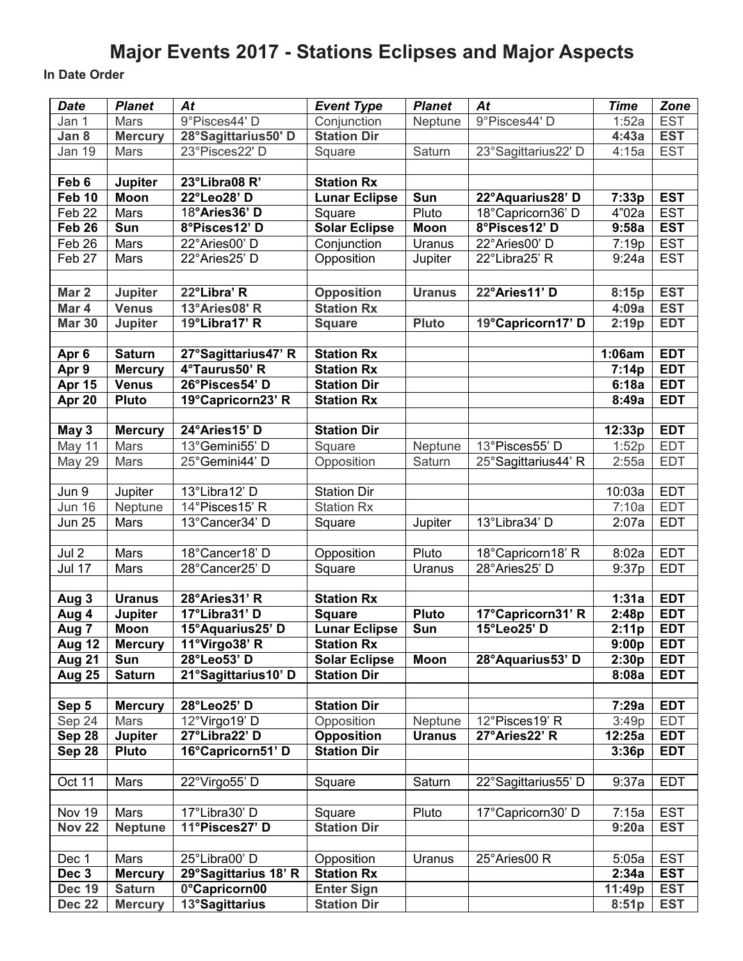# **Major Events 2017 - Stations Eclipses and Major Aspects**

**In Date Order**

| <b>Date</b>             | <b>Planet</b>                | At                                   | <b>Event Type</b>                       | <b>Planet</b>            | At                  | <b>Time</b>     | Zone                     |
|-------------------------|------------------------------|--------------------------------------|-----------------------------------------|--------------------------|---------------------|-----------------|--------------------------|
| Jan 1                   | Mars                         | 9°Pisces44'D                         | Conjunction                             | Neptune                  | 9°Pisces44'D        | 1:52a           | <b>EST</b>               |
| Jan 8                   | <b>Mercury</b>               | 28°Sagittarius50'D                   | <b>Station Dir</b>                      |                          |                     | 4:43a           | <b>EST</b>               |
| Jan $19$                | Mars                         | 23°Pisces22' D                       | Square                                  | Saturn                   | 23°Sagittarius22' D | 4:15a           | <b>EST</b>               |
|                         |                              |                                      |                                         |                          |                     |                 |                          |
| Feb 6                   | <b>Jupiter</b>               | 23°Libra08 R'                        | <b>Station Rx</b>                       |                          |                     |                 |                          |
| Feb 10                  | <b>Moon</b>                  | 22°Leo28' D                          | <b>Lunar Eclipse</b>                    | Sun                      | 22°Aquarius28' D    | 7:33p           | <b>EST</b>               |
| Feb 22                  | Mars                         | 18°Aries36' D                        | Square                                  | Pluto                    | 18°Capricorn36' D   | 4"02a           | <b>EST</b>               |
| Feb26                   | Sun                          | 8°Pisces12' D                        | <b>Solar Eclipse</b>                    | Moon                     | 8°Pisces12' D       | 9:58a           | <b>EST</b>               |
| Feb 26                  | Mars                         | 22°Aries00' D                        | Conjunction                             | Uranus                   | 22°Aries00' D       | 7:19p           | <b>EST</b>               |
| Feb 27                  | Mars                         | 22°Aries25' D                        | Opposition                              | Jupiter                  | 22°Libra25' R       | 9:24a           | <b>EST</b>               |
|                         |                              |                                      |                                         |                          |                     |                 |                          |
| Mar 2                   | Jupiter                      | 22°Libra' R                          | <b>Opposition</b>                       | <b>Uranus</b>            | 22°Aries11' D       | 8:15p           | <b>EST</b>               |
| Mar 4                   | <b>Venus</b>                 | 13°Aries08' R                        | <b>Station Rx</b>                       |                          |                     | 4:09a           | <b>EST</b>               |
| <b>Mar 30</b>           | <b>Jupiter</b>               | 19°Libra17' R                        | <b>Square</b>                           | <b>Pluto</b>             | 19°Capricorn17' D   | 2:19p           | <b>EDT</b>               |
|                         |                              |                                      |                                         |                          |                     |                 |                          |
| Apr 6                   | <b>Saturn</b>                | 27°Sagittarius47' R<br>4°Taurus50' R | <b>Station Rx</b>                       |                          |                     | 1:06am          | <b>EDT</b>               |
| Apr 9                   | <b>Mercury</b>               |                                      | <b>Station Rx</b>                       |                          |                     | 7:14p           | <b>EDT</b>               |
| <b>Apr 15</b><br>Apr 20 | <b>Venus</b><br><b>Pluto</b> | 26°Pisces54' D<br>19°Capricorn23' R  | <b>Station Dir</b><br><b>Station Rx</b> |                          |                     | 6:18a<br>8:49a  | <b>EDT</b><br><b>EDT</b> |
|                         |                              |                                      |                                         |                          |                     |                 |                          |
| May 3                   | <b>Mercury</b>               | 24°Aries15' D                        | <b>Station Dir</b>                      |                          |                     | 12:33p          | <b>EDT</b>               |
| May 11                  | Mars                         | 13°Gemini55' D                       | Square                                  | Neptune                  | 13°Pisces55' D      | 1:52p           | <b>EDT</b>               |
| <b>May 29</b>           | Mars                         | 25°Gemini44' D                       | Opposition                              | Saturn                   | 25°Sagittarius44' R | 2:55a           | <b>EDT</b>               |
|                         |                              |                                      |                                         |                          |                     |                 |                          |
| Jun 9                   | Jupiter                      | 13°Libra12' D                        | <b>Station Dir</b>                      |                          |                     | 10:03a          | <b>EDT</b>               |
| <b>Jun 16</b>           | Neptune                      | $14^{\circ}$ Pisces15' R             | Station Rx                              |                          |                     | 7:10a           | <b>EDT</b>               |
| <b>Jun 25</b>           | Mars                         | 13°Cancer34' D                       | Square                                  | Jupiter                  | 13°Libra34' D       | 2:07a           | <b>EDT</b>               |
|                         |                              |                                      |                                         |                          |                     |                 |                          |
| Jul 2                   | Mars                         | 18°Cancer18' D                       | Opposition                              | Pluto                    | 18°Capricorn18' R   | 8:02a           | <b>EDT</b>               |
| <b>Jul 17</b>           | Mars                         | 28°Cancer25' D                       | Square                                  | Uranus                   | 28°Aries25' D       | 9:37p           | <b>EDT</b>               |
|                         |                              |                                      |                                         |                          |                     |                 |                          |
| Aug 3                   | <b>Uranus</b>                | 28°Aries31' R                        | <b>Station Rx</b>                       |                          |                     | 1:31a           | <b>EDT</b>               |
| Aug 4                   | Jupiter                      | 17°Libra31' D                        | <b>Square</b>                           | <b>Pluto</b>             | 17°Capricorn31' R   | 2:48p           | <b>EDT</b>               |
| Aug 7                   | Moon                         | 15°Aquarius25' D                     | <b>Lunar Eclipse</b>                    | Sun                      | 15°Leo25' D         | 2:11p           | <b>EDT</b>               |
| Aug 12                  | <b>Mercury</b>               | 11°Virgo38' R                        | <b>Station Rx</b>                       |                          |                     | 9:00p           | <b>EDT</b>               |
| <b>Aug 21</b>           | <b>Sun</b>                   | 28°Leo53'D                           | <b>Solar Eclipse</b>                    | Moon                     | 28°Aquarius53' D    | 2:30p           | <b>EDT</b>               |
| <b>Aug 25</b>           | <b>Saturn</b>                | 21°Sagittarius10' D                  | <b>Station Dir</b>                      |                          |                     | 8:08a           | <b>EDT</b>               |
|                         |                              |                                      |                                         |                          |                     |                 | <b>EDT</b>               |
| Sep 5                   | <b>Mercury</b><br>Mars       | 28°Leo25'D<br>12°Virgo19' D          | <b>Station Dir</b><br>Opposition        |                          | 12°Pisces19'R       | 7:29a           | <b>EDT</b>               |
| Sep 24<br>Sep 28        | <b>Jupiter</b>               | 27°Libra22' D                        | <b>Opposition</b>                       | Neptune<br><b>Uranus</b> | 27°Aries22' R       | 3:49p<br>12:25a | <b>EDT</b>               |
| Sep 28                  | <b>Pluto</b>                 | 16°Capricorn51' D                    | <b>Station Dir</b>                      |                          |                     | 3:36p           | <b>EDT</b>               |
|                         |                              |                                      |                                         |                          |                     |                 |                          |
| Oct 11                  | Mars                         | 22°Virgo55' D                        | Square                                  | Saturn                   | 22°Sagittarius55' D | 9:37a           | <b>EDT</b>               |
|                         |                              |                                      |                                         |                          |                     |                 |                          |
| Nov 19                  | Mars                         | 17°Libra30' D                        | Square                                  | Pluto                    | 17°Capricorn30' D   | 7:15a           | <b>EST</b>               |
| <b>Nov 22</b>           | <b>Neptune</b>               | 11°Pisces27' D                       | <b>Station Dir</b>                      |                          |                     | 9:20a           | <b>EST</b>               |
|                         |                              |                                      |                                         |                          |                     |                 |                          |
| Dec 1                   | Mars                         | 25°Libra00' D                        | Opposition                              | Uranus                   | 25°Aries00 R        | 5:05a           | <b>EST</b>               |
| Dec 3                   | <b>Mercury</b>               | 29°Sagittarius 18' R                 | <b>Station Rx</b>                       |                          |                     | 2:34a           | <b>EST</b>               |
| <b>Dec 19</b>           | <b>Saturn</b>                | 0°Capricorn00                        | <b>Enter Sign</b>                       |                          |                     | 11:49p          | <b>EST</b>               |
| <b>Dec 22</b>           | <b>Mercury</b>               | 13°Sagittarius                       | <b>Station Dir</b>                      |                          |                     | 8:51p           | <b>EST</b>               |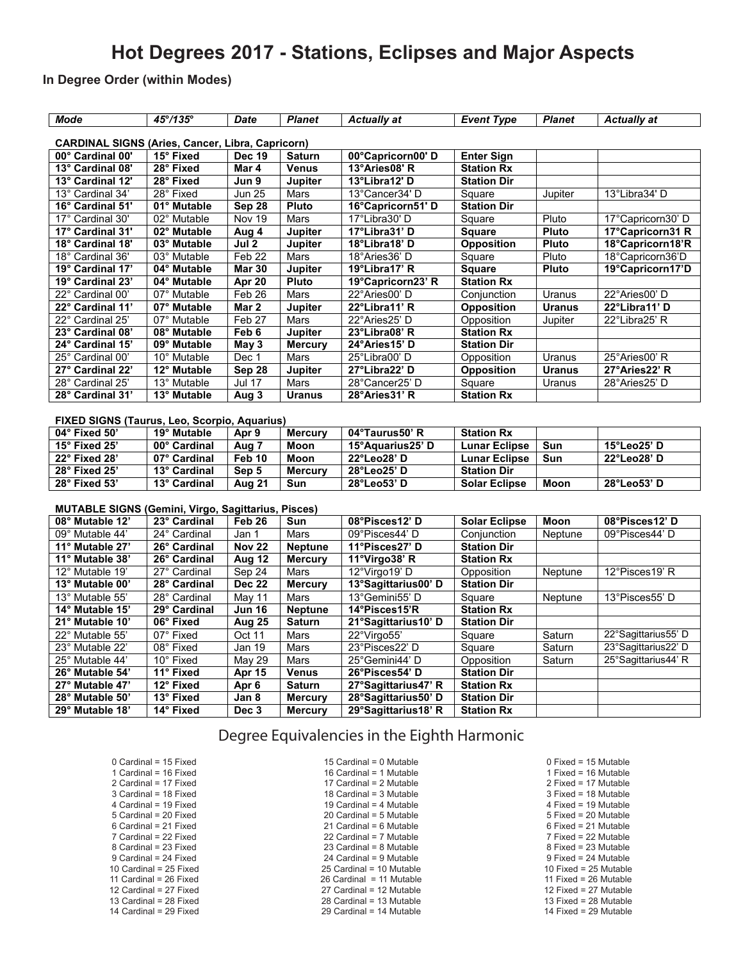### **Hot Degrees 2017 - Stations, Eclipses and Major Aspects**

#### **In Degree Order (within Modes)**

| <b>Mode</b>                                               | 45°/135°     | <b>Planet</b><br><b>Date</b>         |                | <b>Actually at</b>  | <b>Event Type</b>    | <b>Planet</b> | <b>Actually at</b>  |  |  |
|-----------------------------------------------------------|--------------|--------------------------------------|----------------|---------------------|----------------------|---------------|---------------------|--|--|
| <b>CARDINAL SIGNS (Aries, Cancer, Libra, Capricorn)</b>   |              |                                      |                |                     |                      |               |                     |  |  |
| 00° Cardinal 00'                                          | 15° Fixed    | $\overline{Dec}$ 19<br><b>Saturn</b> |                | 00°Capricorn00' D   | <b>Enter Sign</b>    |               |                     |  |  |
| 13° Cardinal 08'                                          | 28° Fixed    | Mar 4                                | <b>Venus</b>   | 13°Aries08' R       | <b>Station Rx</b>    |               |                     |  |  |
| 13° Cardinal 12'                                          | 28° Fixed    | Jun 9                                | Jupiter        | 13°Libra12' D       | <b>Station Dir</b>   |               |                     |  |  |
| 13° Cardinal 34'                                          | 28° Fixed    | <b>Jun 25</b>                        | <b>Mars</b>    | 13°Cancer34' D      | Square               | Jupiter       | 13°Libra34' D       |  |  |
| 16° Cardinal 51'                                          | 01° Mutable  | Sep 28                               | <b>Pluto</b>   | 16°Capricorn51' D   | <b>Station Dir</b>   |               |                     |  |  |
| 17° Cardinal 30'                                          | 02° Mutable  | Nov 19                               | <b>Mars</b>    | 17°Libra30' D       | Square               | Pluto         | 17°Capricorn30' D   |  |  |
| 17° Cardinal 31'                                          | 02° Mutable  | Aug 4                                | Jupiter        | 17°Libra31' D       | <b>Square</b>        | <b>Pluto</b>  | 17°Capricorn31 R    |  |  |
| 18° Cardinal 18'                                          | 03° Mutable  | Jul2                                 | Jupiter        | 18°Libra18' D       | <b>Opposition</b>    | <b>Pluto</b>  | 18°Capricorn18'R    |  |  |
| 18° Cardinal 36'                                          | 03° Mutable  | Feb <sub>22</sub>                    | Mars           | 18°Aries36' D       | Square               | Pluto         | 18°Capricorn36'D    |  |  |
| 19° Cardinal 17'                                          | 04° Mutable  | Mar 30                               | Jupiter        | 19°Libra17' R       | <b>Square</b>        | Pluto         | 19°Capricorn17'D    |  |  |
| 19° Cardinal 23'                                          | 04° Mutable  | Apr 20                               | <b>Pluto</b>   | 19°Capricorn23' R   | <b>Station Rx</b>    |               |                     |  |  |
| 22° Cardinal 00'                                          | 07° Mutable  | Feb 26                               | Mars           | 22°Aries00'D        | Coniunction          | Uranus        | 22°Aries00'D        |  |  |
| 22° Cardinal 11'                                          | 07° Mutable  | Mar 2                                | Jupiter        | 22°Libra11' R       | <b>Opposition</b>    | <b>Uranus</b> | 22°Libra11' D       |  |  |
| 22° Cardinal 25'                                          | 07° Mutable  | Feb 27                               | Mars           | 22°Aries25' D       | Opposition           | Jupiter       | 22°Libra25' R       |  |  |
| 23° Cardinal 08'                                          | 08° Mutable  | Feb 6                                | Jupiter        | 23°Libra08' R       | <b>Station Rx</b>    |               |                     |  |  |
| 24° Cardinal 15'                                          | 09° Mutable  | May 3                                | <b>Mercury</b> | 24°Aries15' D       | <b>Station Dir</b>   |               |                     |  |  |
| 25° Cardinal 00'                                          | 10° Mutable  | Dec 1                                | Mars           | 25°Libra00' D       | Opposition           | Uranus        | 25°Aries00' R       |  |  |
| 27° Cardinal 22'                                          | 12° Mutable  | Sep 28                               | Jupiter        | 27°Libra22' D       | <b>Opposition</b>    | <b>Uranus</b> | 27°Aries22' R       |  |  |
| 28° Cardinal 25'                                          | 13° Mutable  | <b>Jul 17</b>                        | Mars           | 28°Cancer25' D      | Square               | Uranus        | 28°Aries25' D       |  |  |
| 28° Cardinal 31'                                          | 13° Mutable  | Aug 3                                | <b>Uranus</b>  | 28°Aries31' R       | <b>Station Rx</b>    |               |                     |  |  |
|                                                           |              |                                      |                |                     |                      |               |                     |  |  |
| FIXED SIGNS (Taurus, Leo, Scorpio, Aquarius)              |              |                                      |                |                     |                      |               |                     |  |  |
| 04° Fixed 50'                                             | 19° Mutable  | Apr 9                                | <b>Mercury</b> | 04°Taurus50' R      | <b>Station Rx</b>    |               |                     |  |  |
| 15° Fixed 25'                                             | 00° Cardinal | Aug 7                                | Moon           | 15°Aquarius25' D    | <b>Lunar Eclipse</b> | Sun           | 15°Leo25' D         |  |  |
| 22° Fixed 28'                                             | 07° Cardinal | Feb 10                               | <b>Moon</b>    | 22°Leo28' D         | <b>Lunar Eclipse</b> | Sun           | 22°Leo28' D         |  |  |
| 28° Fixed 25'                                             | 13° Cardinal | Sep 5                                | <b>Mercury</b> | 28°Leo25'D          | <b>Station Dir</b>   |               |                     |  |  |
| 28° Fixed 53'                                             | 13° Cardinal | Aug 21                               | Sun            | 28°Leo53'D          | <b>Solar Eclipse</b> | Moon          | 28°Leo53' D         |  |  |
|                                                           |              |                                      |                |                     |                      |               |                     |  |  |
| <b>MUTABLE SIGNS (Gemini, Virgo, Sagittarius, Pisces)</b> |              |                                      |                |                     |                      |               |                     |  |  |
| 08° Mutable 12'                                           | 23° Cardinal | Feb <sub>26</sub>                    | Sun            | 08°Pisces12' D      | <b>Solar Eclipse</b> | <b>Moon</b>   | 08°Pisces12' D      |  |  |
| 09° Mutable 44'                                           | 24° Cardinal | Jan 1                                | Mars           | 09°Pisces44' D      | Conjunction          | Neptune       | 09°Pisces44' D      |  |  |
| 11° Mutable 27'                                           | 26° Cardinal | <b>Nov 22</b>                        | <b>Neptune</b> | 11°Pisces27' D      | <b>Station Dir</b>   |               |                     |  |  |
| 11° Mutable 38'                                           | 26° Cardinal | Aug 12                               | <b>Mercury</b> | 11°Virgo38' R       | <b>Station Rx</b>    |               |                     |  |  |
| 12° Mutable 19'                                           | 27° Cardinal | Sep 24                               | Mars           | 12°Virgo19' D       | Opposition           | Neptune       | 12°Pisces19'R       |  |  |
| 13° Mutable 00'                                           | 28° Cardinal | <b>Dec 22</b>                        | <b>Mercury</b> | 13°Sagittarius00'D  | <b>Station Dir</b>   |               |                     |  |  |
| 13° Mutable 55'                                           | 28° Cardinal | May 11                               | Mars           | 13°Gemini55' D      | Square               | Neptune       | 13°Pisces55' D      |  |  |
| 14° Mutable 15'                                           | 29° Cardinal | <b>Jun 16</b>                        | <b>Neptune</b> | 14°Pisces15'R       | <b>Station Rx</b>    |               |                     |  |  |
| 21° Mutable 10'                                           | 06° Fixed    | Aug 25                               | <b>Saturn</b>  | 21°Sagittarius10' D | <b>Station Dir</b>   |               |                     |  |  |
| 22° Mutable 55'                                           | 07° Fixed    | Oct 11                               | Mars           | 22°Virgo55'         | Square               | Saturn        | 22°Sagittarius55' D |  |  |
| 23° Mutable 22°                                           | 08° Fixed    | <b>Jan 19</b>                        | Mars           | 23°Pisces22' D      | Square               | Saturn        | 23°Sagittarius22' D |  |  |
| 25° Mutable 44'                                           | 10° Fixed    | May 29                               | Mars           | 25°Gemini44' D      | Opposition           | Saturn        | 25°Sagittarius44' R |  |  |
| 26° Mutable 54'                                           | 11° Fixed    | Apr 15                               | <b>Venus</b>   | 26°Pisces54' D      | <b>Station Dir</b>   |               |                     |  |  |
| 27° Mutable 47'                                           | 12° Fixed    | Apr 6                                | <b>Saturn</b>  | 27°Sagittarius47' R | <b>Station Rx</b>    |               |                     |  |  |
| 28° Mutable 50'                                           | 13° Fixed    | Jan 8                                | <b>Mercury</b> | 28°Sagittarius50'D  | <b>Station Dir</b>   |               |                     |  |  |
| 29° Mutable 18'                                           | 14° Fixed    | Dec 3                                | <b>Mercury</b> | 29°Sagittarius18' R | <b>Station Rx</b>    |               |                     |  |  |

### Degree Equivalencies in the Eighth Harmonic

| 0 Cardinal = 15 Fixed    |
|--------------------------|
| 1 Cardinal = 16 Fixed    |
| 2 Cardinal = 17 Fixed    |
| 3 Cardinal = 18 Fixed    |
|                          |
| 4 Cardinal = 19 Fixed    |
| 5 Cardinal = 20 Fixed    |
| 6 Cardinal = 21 Fixed    |
| 7 Cardinal = 22 Fixed    |
|                          |
| 8 Cardinal = 23 Fixed    |
| 9 Cardinal = 24 Fixed    |
| 10 Cardinal = $25$ Fixed |
| 11 Cardinal = 26 Fixed   |
| 12 Cardinal = 27 Fixed   |
| 13 Cardinal = 28 Fixed   |
|                          |
| 14 Cardinal = 29 Fixed   |

15 Cardinal = 0 Mutable 16 Cardinal = 1 Mutable 17 Cardinal = 2 Mutable 18 Cardinal = 3 Mutable 19 Cardinal = 4 Mutable 20 Cardinal = 5 Mutable 21 Cardinal = 6 Mutable 22 Cardinal = 7 Mutable 23 Cardinal = 8 Mutable 24 Cardinal = 9 Mutable 25 Cardinal = 10 Mutable 26 Cardinal = 11 Mutable 27 Cardinal = 12 Mutable 28 Cardinal = 13 Mutable 29 Cardinal = 14 Mutable

0 Fixed = 15 Mutable 1 Fixed = 16 Mutable 2 Fixed = 17 Mutable 3 Fixed = 18 Mutable 4 Fixed = 19 Mutable 5 Fixed = 20 Mutable 6 Fixed = 21 Mutable 7 Fixed = 22 Mutable 8 Fixed = 23 Mutable 9 Fixed = 24 Mutable 10 Fixed = 25 Mutable 11 Fixed = 26 Mutable 12 Fixed = 27 Mutable 13 Fixed = 28 Mutable 14 Fixed = 29 Mutable